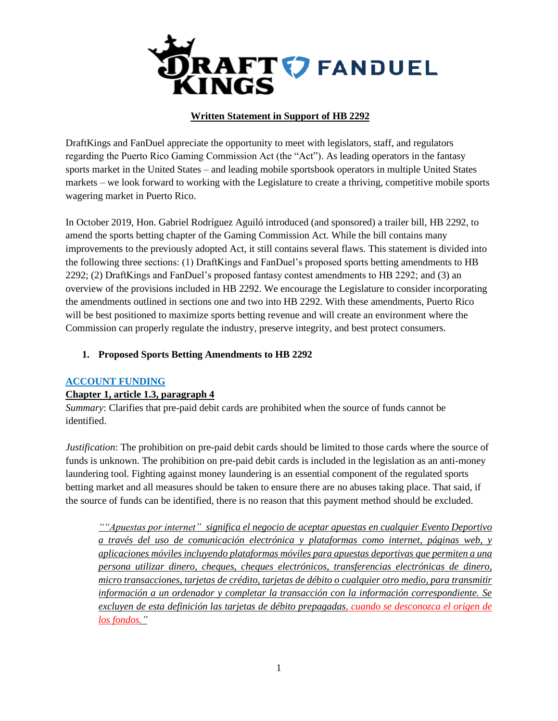

# **Written Statement in Support of HB 2292**

DraftKings and FanDuel appreciate the opportunity to meet with legislators, staff, and regulators regarding the Puerto Rico Gaming Commission Act (the "Act"). As leading operators in the fantasy sports market in the United States – and leading mobile sportsbook operators in multiple United States markets – we look forward to working with the Legislature to create a thriving, competitive mobile sports wagering market in Puerto Rico.

In October 2019, Hon. Gabriel Rodríguez Aguiló introduced (and sponsored) a trailer bill, HB 2292, to amend the sports betting chapter of the Gaming Commission Act. While the bill contains many improvements to the previously adopted Act, it still contains several flaws. This statement is divided into the following three sections: (1) DraftKings and FanDuel's proposed sports betting amendments to HB 2292; (2) DraftKings and FanDuel's proposed fantasy contest amendments to HB 2292; and (3) an overview of the provisions included in HB 2292. We encourage the Legislature to consider incorporating the amendments outlined in sections one and two into HB 2292. With these amendments, Puerto Rico will be best positioned to maximize sports betting revenue and will create an environment where the Commission can properly regulate the industry, preserve integrity, and best protect consumers.

## **1. Proposed Sports Betting Amendments to HB 2292**

## **ACCOUNT FUNDING**

## **Chapter 1, article 1.3, paragraph 4**

*Summary*: Clarifies that pre-paid debit cards are prohibited when the source of funds cannot be identified.

*Justification*: The prohibition on pre-paid debit cards should be limited to those cards where the source of funds is unknown. The prohibition on pre-paid debit cards is included in the legislation as an anti-money laundering tool. Fighting against money laundering is an essential component of the regulated sports betting market and all measures should be taken to ensure there are no abuses taking place. That said, if the source of funds can be identified, there is no reason that this payment method should be excluded.

*""Apuestas por internet" significa el negocio de aceptar apuestas en cualquier Evento Deportivo a través del uso de comunicación electrónica y plataformas como internet, páginas web, y aplicaciones móviles incluyendo plataformas móviles para apuestas deportivas que permiten a una persona utilizar dinero, cheques, cheques electrónicos, transferencias electrónicas de dinero, micro transacciones, tarjetas de crédito, tarjetas de débito o cualquier otro medio, para transmitir información a un ordenador y completar la transacción con la información correspondiente. Se excluyen de esta definición las tarjetas de débito prepagadas, cuando se desconozca el origen de los fondos."*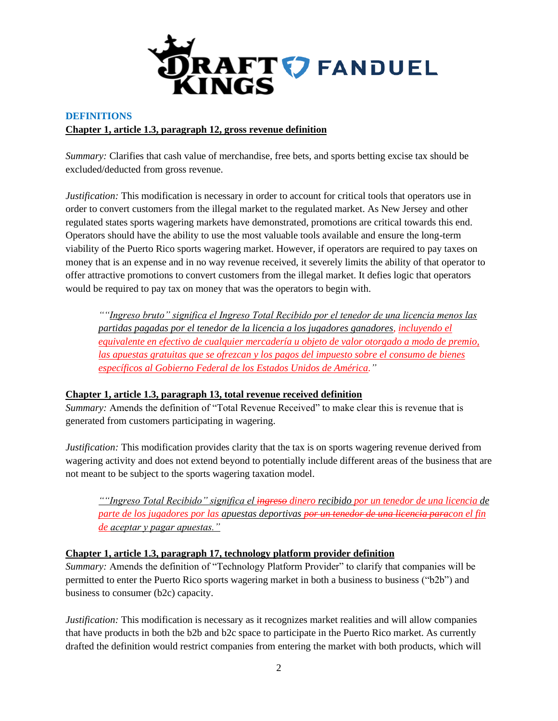

# **DEFINITIONS Chapter 1, article 1.3, paragraph 12, gross revenue definition**

*Summary:* Clarifies that cash value of merchandise, free bets, and sports betting excise tax should be excluded/deducted from gross revenue.

*Justification:* This modification is necessary in order to account for critical tools that operators use in order to convert customers from the illegal market to the regulated market. As New Jersey and other regulated states sports wagering markets have demonstrated, promotions are critical towards this end. Operators should have the ability to use the most valuable tools available and ensure the long-term viability of the Puerto Rico sports wagering market. However, if operators are required to pay taxes on money that is an expense and in no way revenue received, it severely limits the ability of that operator to offer attractive promotions to convert customers from the illegal market. It defies logic that operators would be required to pay tax on money that was the operators to begin with.

*""Ingreso bruto" significa el Ingreso Total Recibido por el tenedor de una licencia menos las partidas pagadas por el tenedor de la licencia a los jugadores ganadores, incluyendo el equivalente en efectivo de cualquier mercadería u objeto de valor otorgado a modo de premio, las apuestas gratuitas que se ofrezcan y los pagos del impuesto sobre el consumo de bienes específicos al Gobierno Federal de los Estados Unidos de América."*

# **Chapter 1, article 1.3, paragraph 13, total revenue received definition**

*Summary:* Amends the definition of "Total Revenue Received" to make clear this is revenue that is generated from customers participating in wagering.

*Justification:* This modification provides clarity that the tax is on sports wagering revenue derived from wagering activity and does not extend beyond to potentially include different areas of the business that are not meant to be subject to the sports wagering taxation model.

*""Ingreso Total Recibido" significa el ingreso dinero recibido por un tenedor de una licencia de parte de los jugadores por las apuestas deportivas por un tenedor de una licencia paracon el fin de aceptar y pagar apuestas."*

## **Chapter 1, article 1.3, paragraph 17, technology platform provider definition**

*Summary:* Amends the definition of "Technology Platform Provider" to clarify that companies will be permitted to enter the Puerto Rico sports wagering market in both a business to business ("b2b") and business to consumer (b2c) capacity.

*Justification:* This modification is necessary as it recognizes market realities and will allow companies that have products in both the b2b and b2c space to participate in the Puerto Rico market. As currently drafted the definition would restrict companies from entering the market with both products, which will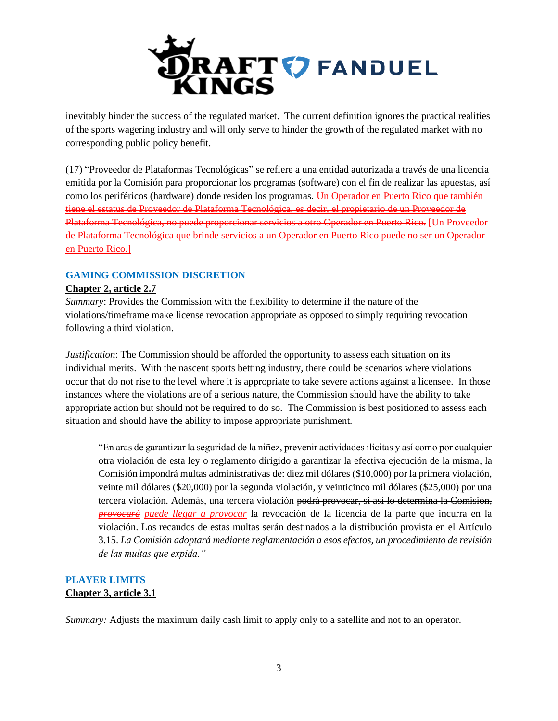

inevitably hinder the success of the regulated market. The current definition ignores the practical realities of the sports wagering industry and will only serve to hinder the growth of the regulated market with no corresponding public policy benefit.

(17) "Proveedor de Plataformas Tecnológicas" se refiere a una entidad autorizada a través de una licencia emitida por la Comisión para proporcionar los programas (software) con el fin de realizar las apuestas, así como los periféricos (hardware) donde residen los programas. <del>Un Operador en Puerto Rico que también</del> tiene el estatus de Proveedor de Plataforma Tecnológica, es decir, el propietario de un Proveedor de Plataforma Tecnológica, no puede proporcionar servicios a otro Operador en Puerto Rico. [Un Proveedor de Plataforma Tecnológica que brinde servicios a un Operador en Puerto Rico puede no ser un Operador en Puerto Rico.]

# **GAMING COMMISSION DISCRETION**

# **Chapter 2, article 2.7**

*Summary*: Provides the Commission with the flexibility to determine if the nature of the violations/timeframe make license revocation appropriate as opposed to simply requiring revocation following a third violation.

*Justification*: The Commission should be afforded the opportunity to assess each situation on its individual merits. With the nascent sports betting industry, there could be scenarios where violations occur that do not rise to the level where it is appropriate to take severe actions against a licensee. In those instances where the violations are of a serious nature, the Commission should have the ability to take appropriate action but should not be required to do so. The Commission is best positioned to assess each situation and should have the ability to impose appropriate punishment.

"En aras de garantizar la seguridad de la niñez, prevenir actividades ilícitas y así como por cualquier otra violación de esta ley o reglamento dirigido a garantizar la efectiva ejecución de la misma, la Comisión impondrá multas administrativas de: diez mil dólares (\$10,000) por la primera violación, veinte mil dólares (\$20,000) por la segunda violación, y veinticinco mil dólares (\$25,000) por una tercera violación. Además, una tercera violación <del>podrá provocar, si así lo determina la Comisión,</del> *provocará puede llegar a provocar* la revocación de la licencia de la parte que incurra en la violación. Los recaudos de estas multas serán destinados a la distribución provista en el Artículo 3.15. *La Comisión adoptará mediante reglamentación a esos efectos, un procedimiento de revisión de las multas que expida."*

# **PLAYER LIMITS Chapter 3, article 3.1**

*Summary:* Adjusts the maximum daily cash limit to apply only to a satellite and not to an operator.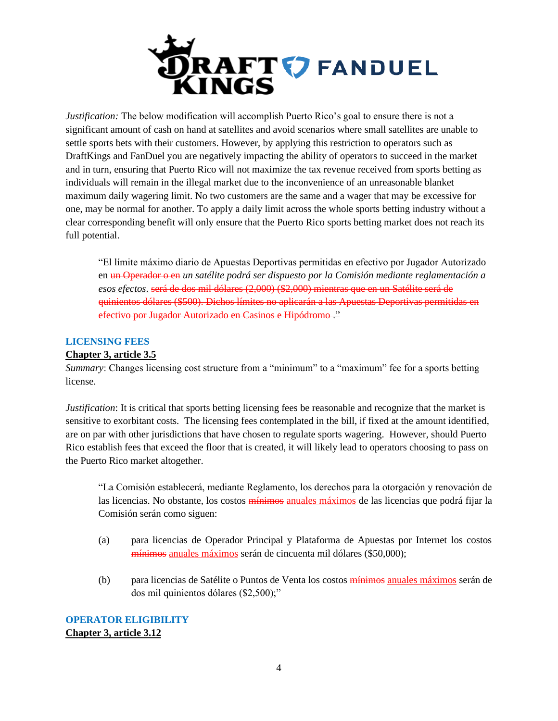

*Justification:* The below modification will accomplish Puerto Rico's goal to ensure there is not a significant amount of cash on hand at satellites and avoid scenarios where small satellites are unable to settle sports bets with their customers. However, by applying this restriction to operators such as DraftKings and FanDuel you are negatively impacting the ability of operators to succeed in the market and in turn, ensuring that Puerto Rico will not maximize the tax revenue received from sports betting as individuals will remain in the illegal market due to the inconvenience of an unreasonable blanket maximum daily wagering limit. No two customers are the same and a wager that may be excessive for one, may be normal for another. To apply a daily limit across the whole sports betting industry without a clear corresponding benefit will only ensure that the Puerto Rico sports betting market does not reach its full potential.

"El límite máximo diario de Apuestas Deportivas permitidas en efectivo por Jugador Autorizado en un Operador o en *un satélite podrá ser dispuesto por la Comisión mediante reglamentación a esos efectos*. será de dos mil dólares (2,000) (\$2,000) mientras que en un Satélite será de quinientos dólares (\$500). Dichos límites no aplicarán a las Apuestas Deportivas permitidas en efectivo por Jugador Autorizado en Casinos e Hipódromo ."

#### **LICENSING FEES**

#### **Chapter 3, article 3.5**

*Summary*: Changes licensing cost structure from a "minimum" to a "maximum" fee for a sports betting license.

*Justification*: It is critical that sports betting licensing fees be reasonable and recognize that the market is sensitive to exorbitant costs. The licensing fees contemplated in the bill, if fixed at the amount identified, are on par with other jurisdictions that have chosen to regulate sports wagering. However, should Puerto Rico establish fees that exceed the floor that is created, it will likely lead to operators choosing to pass on the Puerto Rico market altogether.

"La Comisión establecerá, mediante Reglamento, los derechos para la otorgación y renovación de las licencias. No obstante, los costos mínimos anuales máximos de las licencias que podrá fijar la Comisión serán como siguen:

- (a) para licencias de Operador Principal y Plataforma de Apuestas por Internet los costos mínimos anuales máximos serán de cincuenta mil dólares (\$50,000);
- (b) para licencias de Satélite o Puntos de Venta los costos mínimos anuales máximos serán de dos mil quinientos dólares (\$2,500);"

**OPERATOR ELIGIBILITY Chapter 3, article 3.12**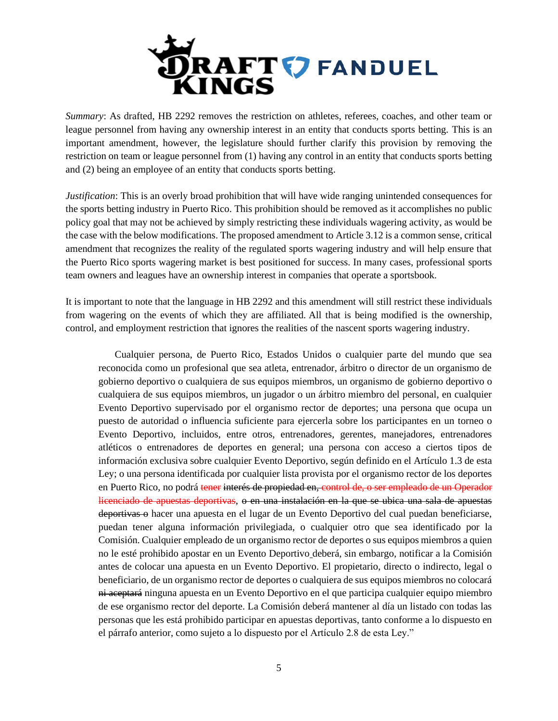

*Summary*: As drafted, HB 2292 removes the restriction on athletes, referees, coaches, and other team or league personnel from having any ownership interest in an entity that conducts sports betting. This is an important amendment, however, the legislature should further clarify this provision by removing the restriction on team or league personnel from (1) having any control in an entity that conducts sports betting and (2) being an employee of an entity that conducts sports betting.

*Justification*: This is an overly broad prohibition that will have wide ranging unintended consequences for the sports betting industry in Puerto Rico. This prohibition should be removed as it accomplishes no public policy goal that may not be achieved by simply restricting these individuals wagering activity, as would be the case with the below modifications. The proposed amendment to Article 3.12 is a common sense, critical amendment that recognizes the reality of the regulated sports wagering industry and will help ensure that the Puerto Rico sports wagering market is best positioned for success. In many cases, professional sports team owners and leagues have an ownership interest in companies that operate a sportsbook.

It is important to note that the language in HB 2292 and this amendment will still restrict these individuals from wagering on the events of which they are affiliated. All that is being modified is the ownership, control, and employment restriction that ignores the realities of the nascent sports wagering industry.

Cualquier persona, de Puerto Rico, Estados Unidos o cualquier parte del mundo que sea reconocida como un profesional que sea atleta, entrenador, árbitro o director de un organismo de gobierno deportivo o cualquiera de sus equipos miembros, un organismo de gobierno deportivo o cualquiera de sus equipos miembros, un jugador o un árbitro miembro del personal, en cualquier Evento Deportivo supervisado por el organismo rector de deportes; una persona que ocupa un puesto de autoridad o influencia suficiente para ejercerla sobre los participantes en un torneo o Evento Deportivo, incluidos, entre otros, entrenadores, gerentes, manejadores, entrenadores atléticos o entrenadores de deportes en general; una persona con acceso a ciertos tipos de información exclusiva sobre cualquier Evento Deportivo, según definido en el Artículo 1.3 de esta Ley; o una persona identificada por cualquier lista provista por el organismo rector de los deportes en Puerto Rico, no podrá tener interés de propiedad en, control de, o ser empleado de un Operador licenciado de apuestas deportivas, o en una instalación en la que se ubica una sala de apuestas deportivas o hacer una apuesta en el lugar de un Evento Deportivo del cual puedan beneficiarse, puedan tener alguna información privilegiada, o cualquier otro que sea identificado por la Comisión. Cualquier empleado de un organismo rector de deportes o sus equipos miembros a quien no le esté prohibido apostar en un Evento Deportivo deberá, sin embargo, notificar a la Comisión antes de colocar una apuesta en un Evento Deportivo. El propietario, directo o indirecto, legal o beneficiario, de un organismo rector de deportes o cualquiera de sus equipos miembros no colocará ni aceptará ninguna apuesta en un Evento Deportivo en el que participa cualquier equipo miembro de ese organismo rector del deporte. La Comisión deberá mantener al día un listado con todas las personas que les está prohibido participar en apuestas deportivas, tanto conforme a lo dispuesto en el párrafo anterior, como sujeto a lo dispuesto por el Artículo 2.8 de esta Ley."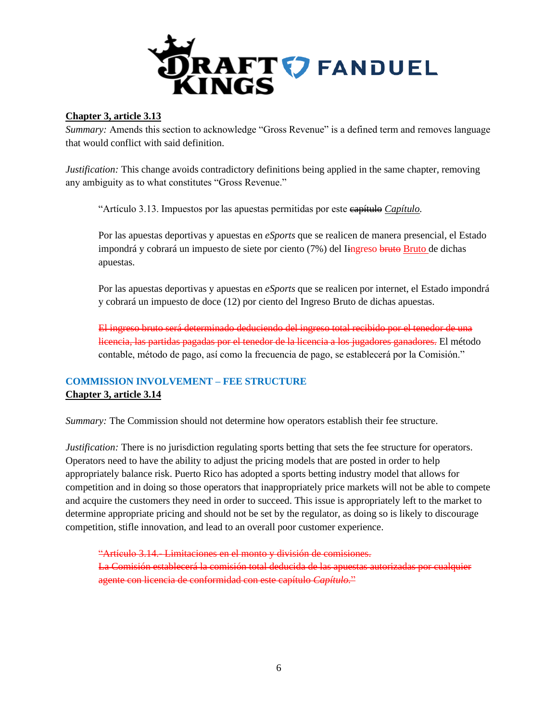

## **Chapter 3, article 3.13**

*Summary:* Amends this section to acknowledge "Gross Revenue" is a defined term and removes language that would conflict with said definition.

*Justification:* This change avoids contradictory definitions being applied in the same chapter, removing any ambiguity as to what constitutes "Gross Revenue."

"Artículo 3.13. Impuestos por las apuestas permitidas por este capítulo *Capítulo.*

Por las apuestas deportivas y apuestas en *eSports* que se realicen de manera presencial, el Estado impondrá y cobrará un impuesto de siete por ciento (7%) del Iingreso bruto Bruto de dichas apuestas.

Por las apuestas deportivas y apuestas en *eSports* que se realicen por internet, el Estado impondrá y cobrará un impuesto de doce (12) por ciento del Ingreso Bruto de dichas apuestas.

El ingreso bruto será determinado deduciendo del ingreso total recibido por el tenedor de una licencia, las partidas pagadas por el tenedor de la licencia a los jugadores ganadores. El método contable, método de pago, así como la frecuencia de pago, se establecerá por la Comisión."

# **COMMISSION INVOLVEMENT – FEE STRUCTURE Chapter 3, article 3.14**

*Summary:* The Commission should not determine how operators establish their fee structure.

*Justification:* There is no jurisdiction regulating sports betting that sets the fee structure for operators. Operators need to have the ability to adjust the pricing models that are posted in order to help appropriately balance risk. Puerto Rico has adopted a sports betting industry model that allows for competition and in doing so those operators that inappropriately price markets will not be able to compete and acquire the customers they need in order to succeed. This issue is appropriately left to the market to determine appropriate pricing and should not be set by the regulator, as doing so is likely to discourage competition, stifle innovation, and lead to an overall poor customer experience.

"Artículo 3.14.- Limitaciones en el monto y división de comisiones. La Comisión establecerá la comisión total deducida de las apuestas autorizadas por cualquier agente con licencia de conformidad con este capítulo *Capítulo.*"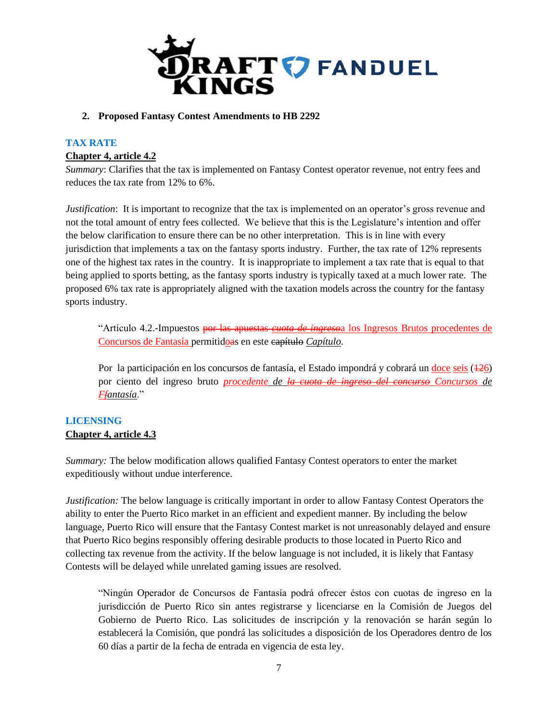

#### **2. Proposed Fantasy Contest Amendments to HB 2292**

# **TAX RATE Chapter 4, article 4.2**

*Summary*: Clarifies that the tax is implemented on Fantasy Contest operator revenue, not entry fees and reduces the tax rate from 12% to 6%.

*Justification*: It is important to recognize that the tax is implemented on an operator's gross revenue and not the total amount of entry fees collected. We believe that this is the Legislature's intention and offer the below clarification to ensure there can be no other interpretation. This is in line with every jurisdiction that implements a tax on the fantasy sports industry. Further, the tax rate of 12% represents one of the highest tax rates in the country. It is inappropriate to implement a tax rate that is equal to that being applied to sports betting, as the fantasy sports industry is typically taxed at a much lower rate. The proposed 6% tax rate is appropriately aligned with the taxation models across the country for the fantasy sports industry.

"Artículo 4.2.-Impuestos por las apuestas *cuota de ingreso*a los Ingresos Brutos procedentes de Concursos de Fantasía permitidoas en este capítulo *Capítulo*.

Por la participación en los concursos de fantasía, el Estado impondrá y cobrará un doce seis (126) por ciento del ingreso bruto *procedente de la cuota de ingreso del concurso Concursos de Ffantasía*."

# **LICENSING Chapter 4, article 4.3**

*Summary:* The below modification allows qualified Fantasy Contest operators to enter the market expeditiously without undue interference.

*Justification:* The below language is critically important in order to allow Fantasy Contest Operators the ability to enter the Puerto Rico market in an efficient and expedient manner. By including the below language, Puerto Rico will ensure that the Fantasy Contest market is not unreasonably delayed and ensure that Puerto Rico begins responsibly offering desirable products to those located in Puerto Rico and collecting tax revenue from the activity. If the below language is not included, it is likely that Fantasy Contests will be delayed while unrelated gaming issues are resolved.

"Ningún Operador de Concursos de Fantasía podrá ofrecer éstos con cuotas de ingreso en la jurisdicción de Puerto Rico sin antes registrarse y licenciarse en la Comisión de Juegos del Gobierno de Puerto Rico. Las solicitudes de inscripción y la renovación se harán según lo establecerá la Comisión, que pondrá las solicitudes a disposición de los Operadores dentro de los 60 días a partir de la fecha de entrada en vigencia de esta ley.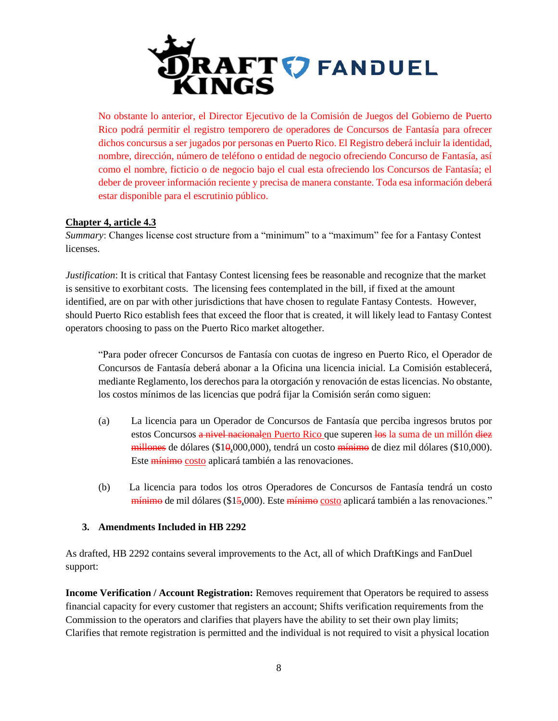

No obstante lo anterior, el Director Ejecutivo de la Comisión de Juegos del Gobierno de Puerto Rico podrá permitir el registro temporero de operadores de Concursos de Fantasía para ofrecer dichos concursus a ser jugados por personas en Puerto Rico. El Registro deberá incluir la identidad, nombre, dirección, número de teléfono o entidad de negocio ofreciendo Concurso de Fantasía, así como el nombre, ficticio o de negocio bajo el cual esta ofreciendo los Concursos de Fantasía; el deber de proveer información reciente y precisa de manera constante. Toda esa información deberá estar disponible para el escrutinio público.

# **Chapter 4, article 4.3**

*Summary*: Changes license cost structure from a "minimum" to a "maximum" fee for a Fantasy Contest licenses.

*Justification*: It is critical that Fantasy Contest licensing fees be reasonable and recognize that the market is sensitive to exorbitant costs. The licensing fees contemplated in the bill, if fixed at the amount identified, are on par with other jurisdictions that have chosen to regulate Fantasy Contests. However, should Puerto Rico establish fees that exceed the floor that is created, it will likely lead to Fantasy Contest operators choosing to pass on the Puerto Rico market altogether.

"Para poder ofrecer Concursos de Fantasía con cuotas de ingreso en Puerto Rico, el Operador de Concursos de Fantasía deberá abonar a la Oficina una licencia inicial. La Comisión establecerá, mediante Reglamento, los derechos para la otorgación y renovación de estas licencias. No obstante, los costos mínimos de las licencias que podrá fijar la Comisión serán como siguen:

- (a) La licencia para un Operador de Concursos de Fantasía que perciba ingresos brutos por estos Concursos a nivel nacionalen Puerto Rico que superen los la suma de un millón diez millones de dólares (\$10*,*000,000), tendrá un costo mínimo de diez mil dólares (\$10,000). Este mínimo costo aplicará también a las renovaciones.
- (b) La licencia para todos los otros Operadores de Concursos de Fantasía tendrá un costo mínimo de mil dólares (\$15,000). Este mínimo costo aplicará también a las renovaciones."

## **3. Amendments Included in HB 2292**

As drafted, HB 2292 contains several improvements to the Act, all of which DraftKings and FanDuel support:

**Income Verification / Account Registration:** Removes requirement that Operators be required to assess financial capacity for every customer that registers an account; Shifts verification requirements from the Commission to the operators and clarifies that players have the ability to set their own play limits; Clarifies that remote registration is permitted and the individual is not required to visit a physical location